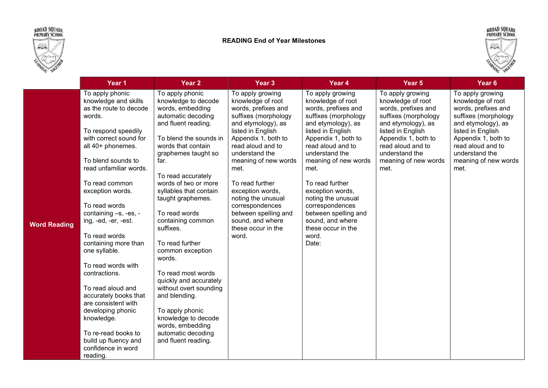





|                     | Year 1                                                                                                                                                                                                                                                                                                                                                                                                                                                                                                                                                                                              | Year 2                                                                                                                                                                                                                                                                                                                                                                                                                                                                                                                                                                                        | Year 3                                                                                                                                                                                                                                                                                                                                                                                   | Year 4                                                                                                                                                                                                                                                                                                                                                                                            | Year 5                                                                                                                                                                                                                        | Year <sub>6</sub>                                                                                                                                                                                                             |
|---------------------|-----------------------------------------------------------------------------------------------------------------------------------------------------------------------------------------------------------------------------------------------------------------------------------------------------------------------------------------------------------------------------------------------------------------------------------------------------------------------------------------------------------------------------------------------------------------------------------------------------|-----------------------------------------------------------------------------------------------------------------------------------------------------------------------------------------------------------------------------------------------------------------------------------------------------------------------------------------------------------------------------------------------------------------------------------------------------------------------------------------------------------------------------------------------------------------------------------------------|------------------------------------------------------------------------------------------------------------------------------------------------------------------------------------------------------------------------------------------------------------------------------------------------------------------------------------------------------------------------------------------|---------------------------------------------------------------------------------------------------------------------------------------------------------------------------------------------------------------------------------------------------------------------------------------------------------------------------------------------------------------------------------------------------|-------------------------------------------------------------------------------------------------------------------------------------------------------------------------------------------------------------------------------|-------------------------------------------------------------------------------------------------------------------------------------------------------------------------------------------------------------------------------|
| <b>Word Reading</b> | To apply phonic<br>knowledge and skills<br>as the route to decode<br>words.<br>To respond speedily<br>with correct sound for<br>all 40+ phonemes.<br>To blend sounds to<br>read unfamiliar words.<br>To read common<br>exception words.<br>To read words<br>containing -s, -es, -<br>ing, -ed, -er, -est.<br>To read words<br>containing more than<br>one syllable.<br>To read words with<br>contractions.<br>To read aloud and<br>accurately books that<br>are consistent with<br>developing phonic<br>knowledge.<br>To re-read books to<br>build up fluency and<br>confidence in word<br>reading. | To apply phonic<br>knowledge to decode<br>words, embedding<br>automatic decoding<br>and fluent reading.<br>To blend the sounds in<br>words that contain<br>graphemes taught so<br>far.<br>To read accurately<br>words of two or more<br>syllables that contain<br>taught graphemes.<br>To read words<br>containing common<br>suffixes.<br>To read further<br>common exception<br>words.<br>To read most words<br>quickly and accurately<br>without overt sounding<br>and blending.<br>To apply phonic<br>knowledge to decode<br>words, embedding<br>automatic decoding<br>and fluent reading. | To apply growing<br>knowledge of root<br>words, prefixes and<br>suffixes (morphology<br>and etymology), as<br>listed in English<br>Appendix 1, both to<br>read aloud and to<br>understand the<br>meaning of new words<br>met.<br>To read further<br>exception words,<br>noting the unusual<br>correspondences<br>between spelling and<br>sound, and where<br>these occur in the<br>word. | To apply growing<br>knowledge of root<br>words, prefixes and<br>suffixes (morphology<br>and etymology), as<br>listed in English<br>Appendix 1, both to<br>read aloud and to<br>understand the<br>meaning of new words<br>met.<br>To read further<br>exception words,<br>noting the unusual<br>correspondences<br>between spelling and<br>sound, and where<br>these occur in the<br>word.<br>Date: | To apply growing<br>knowledge of root<br>words, prefixes and<br>suffixes (morphology<br>and etymology), as<br>listed in English<br>Appendix 1, both to<br>read aloud and to<br>understand the<br>meaning of new words<br>met. | To apply growing<br>knowledge of root<br>words, prefixes and<br>suffixes (morphology<br>and etymology), as<br>listed in English<br>Appendix 1, both to<br>read aloud and to<br>understand the<br>meaning of new words<br>met. |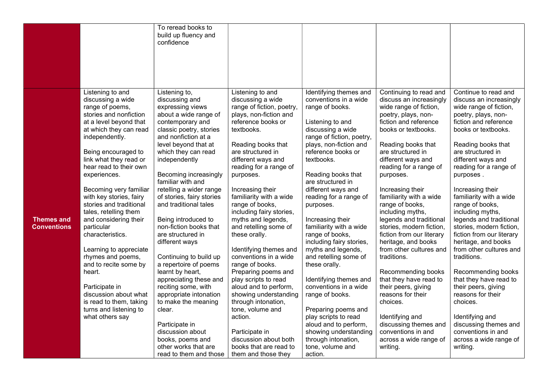|                                         |                                                                                                                                                                                                                                                                                                                                                                                                                                                                                                                                                                                                                              | To reread books to<br>build up fluency and<br>confidence                                                                                                                                                                                                                                                                                                                                                                                                                                                                                                                                                                                                                               |                                                                                                                                                                                                                                                                                                                                                                                                                                                                                                                                                                                                                                                                                |                                                                                                                                                                                                                                                                                                                                                                                                                                                                                                                                                                                                                                                                            |                                                                                                                                                                                                                                                                                                                                                                                                                                                                                                                                                                                                                                                                                                           |                                                                                                                                                                                                                                                                                                                                                                                                                                                                                                                                                                                                                                                                                                         |
|-----------------------------------------|------------------------------------------------------------------------------------------------------------------------------------------------------------------------------------------------------------------------------------------------------------------------------------------------------------------------------------------------------------------------------------------------------------------------------------------------------------------------------------------------------------------------------------------------------------------------------------------------------------------------------|----------------------------------------------------------------------------------------------------------------------------------------------------------------------------------------------------------------------------------------------------------------------------------------------------------------------------------------------------------------------------------------------------------------------------------------------------------------------------------------------------------------------------------------------------------------------------------------------------------------------------------------------------------------------------------------|--------------------------------------------------------------------------------------------------------------------------------------------------------------------------------------------------------------------------------------------------------------------------------------------------------------------------------------------------------------------------------------------------------------------------------------------------------------------------------------------------------------------------------------------------------------------------------------------------------------------------------------------------------------------------------|----------------------------------------------------------------------------------------------------------------------------------------------------------------------------------------------------------------------------------------------------------------------------------------------------------------------------------------------------------------------------------------------------------------------------------------------------------------------------------------------------------------------------------------------------------------------------------------------------------------------------------------------------------------------------|-----------------------------------------------------------------------------------------------------------------------------------------------------------------------------------------------------------------------------------------------------------------------------------------------------------------------------------------------------------------------------------------------------------------------------------------------------------------------------------------------------------------------------------------------------------------------------------------------------------------------------------------------------------------------------------------------------------|---------------------------------------------------------------------------------------------------------------------------------------------------------------------------------------------------------------------------------------------------------------------------------------------------------------------------------------------------------------------------------------------------------------------------------------------------------------------------------------------------------------------------------------------------------------------------------------------------------------------------------------------------------------------------------------------------------|
|                                         |                                                                                                                                                                                                                                                                                                                                                                                                                                                                                                                                                                                                                              |                                                                                                                                                                                                                                                                                                                                                                                                                                                                                                                                                                                                                                                                                        |                                                                                                                                                                                                                                                                                                                                                                                                                                                                                                                                                                                                                                                                                |                                                                                                                                                                                                                                                                                                                                                                                                                                                                                                                                                                                                                                                                            |                                                                                                                                                                                                                                                                                                                                                                                                                                                                                                                                                                                                                                                                                                           |                                                                                                                                                                                                                                                                                                                                                                                                                                                                                                                                                                                                                                                                                                         |
| <b>Themes and</b><br><b>Conventions</b> | Listening to and<br>discussing a wide<br>range of poems,<br>stories and nonfiction<br>at a level beyond that<br>at which they can read<br>independently.<br>Being encouraged to<br>link what they read or<br>hear read to their own<br>experiences.<br>Becoming very familiar<br>with key stories, fairy<br>stories and traditional<br>tales, retelling them<br>and considering their<br>particular<br>characteristics.<br>Learning to appreciate<br>rhymes and poems,<br>and to recite some by<br>heart.<br>Participate in<br>discussion about what<br>is read to them, taking<br>turns and listening to<br>what others say | Listening to,<br>discussing and<br>expressing views<br>about a wide range of<br>contemporary and<br>classic poetry, stories<br>and nonfiction at a<br>level beyond that at<br>which they can read<br>independently<br>Becoming increasingly<br>familiar with and<br>retelling a wider range<br>of stories, fairy stories<br>and traditional tales<br>Being introduced to<br>non-fiction books that<br>are structured in<br>different ways<br>Continuing to build up<br>a repertoire of poems<br>learnt by heart,<br>appreciating these and<br>reciting some, with<br>appropriate intonation<br>to make the meaning<br>clear.<br>Participate in<br>discussion about<br>books, poems and | Listening to and<br>discussing a wide<br>range of fiction, poetry,<br>plays, non-fiction and<br>reference books or<br>textbooks.<br>Reading books that<br>are structured in<br>different ways and<br>reading for a range of<br>purposes.<br>Increasing their<br>familiarity with a wide<br>range of books,<br>including fairy stories,<br>myths and legends,<br>and retelling some of<br>these orally.<br>Identifying themes and<br>conventions in a wide<br>range of books.<br>Preparing poems and<br>play scripts to read<br>aloud and to perform,<br>showing understanding<br>through intonation,<br>tone, volume and<br>action.<br>Participate in<br>discussion about both | Identifying themes and<br>conventions in a wide<br>range of books.<br>Listening to and<br>discussing a wide<br>range of fiction, poetry,<br>plays, non-fiction and<br>reference books or<br>textbooks.<br>Reading books that<br>are structured in<br>different ways and<br>reading for a range of<br>purposes.<br>Increasing their<br>familiarity with a wide<br>range of books,<br>including fairy stories,<br>myths and legends,<br>and retelling some of<br>these orally.<br>Identifying themes and<br>conventions in a wide<br>range of books.<br>Preparing poems and<br>play scripts to read<br>aloud and to perform,<br>showing understanding<br>through intonation, | Continuing to read and<br>discuss an increasingly<br>wide range of fiction,<br>poetry, plays, non-<br>fiction and reference<br>books or textbooks.<br>Reading books that<br>are structured in<br>different ways and<br>reading for a range of<br>purposes.<br>Increasing their<br>familiarity with a wide<br>range of books,<br>including myths,<br>legends and traditional<br>stories, modern fiction,<br>fiction from our literary<br>heritage, and books<br>from other cultures and<br>traditions.<br>Recommending books<br>that they have read to<br>their peers, giving<br>reasons for their<br>choices.<br>Identifying and<br>discussing themes and<br>conventions in and<br>across a wide range of | Continue to read and<br>discuss an increasingly<br>wide range of fiction,<br>poetry, plays, non-<br>fiction and reference<br>books or textbooks.<br>Reading books that<br>are structured in<br>different ways and<br>reading for a range of<br>purposes.<br>Increasing their<br>familiarity with a wide<br>range of books,<br>including myths,<br>legends and traditional<br>stories, modern fiction,<br>fiction from our literary<br>heritage, and books<br>from other cultures and<br>traditions.<br>Recommending books<br>that they have read to<br>their peers, giving<br>reasons for their<br>choices.<br>Identifying and<br>discussing themes and<br>conventions in and<br>across a wide range of |
|                                         |                                                                                                                                                                                                                                                                                                                                                                                                                                                                                                                                                                                                                              | other works that are<br>read to them and those                                                                                                                                                                                                                                                                                                                                                                                                                                                                                                                                                                                                                                         | books that are read to<br>them and those they                                                                                                                                                                                                                                                                                                                                                                                                                                                                                                                                                                                                                                  | tone, volume and<br>action.                                                                                                                                                                                                                                                                                                                                                                                                                                                                                                                                                                                                                                                | writing.                                                                                                                                                                                                                                                                                                                                                                                                                                                                                                                                                                                                                                                                                                  | writing.                                                                                                                                                                                                                                                                                                                                                                                                                                                                                                                                                                                                                                                                                                |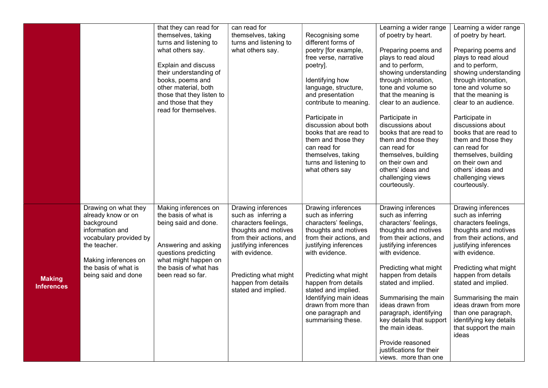|                                    |                                                                                                                                                                                              | that they can read for<br>themselves, taking<br>turns and listening to<br>what others say.<br>Explain and discuss<br>their understanding of<br>books, poems and<br>other material, both<br>those that they listen to<br>and those that they<br>read for themselves. | can read for<br>themselves, taking<br>turns and listening to<br>what others say.                                                                                                                                                       | Recognising some<br>different forms of<br>poetry [for example,<br>free verse, narrative<br>poetry].<br>Identifying how<br>language, structure,<br>and presentation<br>contribute to meaning.<br>Participate in<br>discussion about both<br>books that are read to<br>them and those they<br>can read for<br>themselves, taking<br>turns and listening to<br>what others say | Learning a wider range<br>of poetry by heart.<br>Preparing poems and<br>plays to read aloud<br>and to perform,<br>showing understanding<br>through intonation,<br>tone and volume so<br>that the meaning is<br>clear to an audience.<br>Participate in<br>discussions about<br>books that are read to<br>them and those they<br>can read for<br>themselves, building<br>on their own and<br>others' ideas and<br>challenging views<br>courteously. | Learning a wider range<br>of poetry by heart.<br>Preparing poems and<br>plays to read aloud<br>and to perform,<br>showing understanding<br>through intonation,<br>tone and volume so<br>that the meaning is<br>clear to an audience.<br>Participate in<br>discussions about<br>books that are read to<br>them and those they<br>can read for<br>themselves, building<br>on their own and<br>others' ideas and<br>challenging views<br>courteously. |
|------------------------------------|----------------------------------------------------------------------------------------------------------------------------------------------------------------------------------------------|---------------------------------------------------------------------------------------------------------------------------------------------------------------------------------------------------------------------------------------------------------------------|----------------------------------------------------------------------------------------------------------------------------------------------------------------------------------------------------------------------------------------|-----------------------------------------------------------------------------------------------------------------------------------------------------------------------------------------------------------------------------------------------------------------------------------------------------------------------------------------------------------------------------|----------------------------------------------------------------------------------------------------------------------------------------------------------------------------------------------------------------------------------------------------------------------------------------------------------------------------------------------------------------------------------------------------------------------------------------------------|----------------------------------------------------------------------------------------------------------------------------------------------------------------------------------------------------------------------------------------------------------------------------------------------------------------------------------------------------------------------------------------------------------------------------------------------------|
| <b>Making</b><br><b>Inferences</b> | Drawing on what they<br>already know or on<br>background<br>information and<br>vocabulary provided by<br>the teacher.<br>Making inferences on<br>the basis of what is<br>being said and done | Making inferences on<br>the basis of what is<br>being said and done.<br>Answering and asking<br>questions predicting<br>what might happen on<br>the basis of what has<br>been read so far.                                                                          | Drawing inferences<br>such as inferring a<br>characters feelings,<br>thoughts and motives<br>from their actions, and<br>justifying inferences<br>with evidence.<br>Predicting what might<br>happen from details<br>stated and implied. | Drawing inferences<br>such as inferring<br>characters' feelings,<br>thoughts and motives<br>from their actions, and<br>justifying inferences<br>with evidence.<br>Predicting what might<br>happen from details<br>stated and implied.<br>Identifying main ideas<br>drawn from more than<br>one paragraph and<br>summarising these.                                          | Drawing inferences<br>such as inferring<br>characters' feelings,<br>thoughts and motives<br>from their actions, and<br>justifying inferences<br>with evidence.<br>Predicting what might<br>happen from details<br>stated and implied.<br>Summarising the main<br>ideas drawn from<br>paragraph, identifying<br>key details that support<br>the main ideas.<br>Provide reasoned<br>justifications for their<br>views. more than one                 | Drawing inferences<br>such as inferring<br>characters feelings,<br>thoughts and motives<br>from their actions, and<br>justifying inferences<br>with evidence.<br>Predicting what might<br>happen from details<br>stated and implied.<br>Summarising the main<br>ideas drawn from more<br>than one paragraph,<br>identifying key details<br>that support the main<br>ideas                                                                          |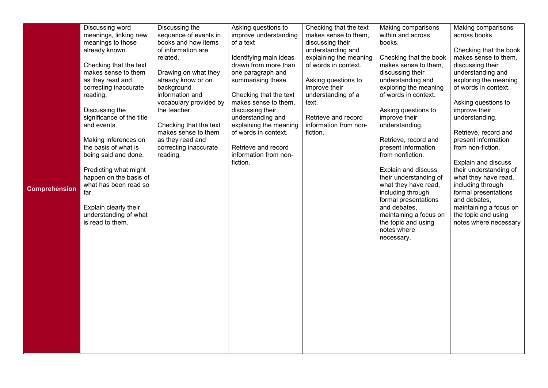|                      | Discussing word                           | Discussing the                   | Asking questions to               | Checking that the text               | Making comparisons                         | Making comparisons                            |
|----------------------|-------------------------------------------|----------------------------------|-----------------------------------|--------------------------------------|--------------------------------------------|-----------------------------------------------|
|                      | meanings, linking new                     | sequence of events in            | improve understanding             | makes sense to them,                 | within and across                          | across books                                  |
|                      | meanings to those                         | books and how items              | of a text                         | discussing their                     | books.                                     |                                               |
|                      | already known.                            | of information are               |                                   | understanding and                    |                                            | Checking that the book                        |
|                      |                                           | related.                         | Identifying main ideas            | explaining the meaning               | Checking that the book                     | makes sense to them,                          |
|                      | Checking that the text                    |                                  | drawn from more than              | of words in context.                 | makes sense to them,                       | discussing their                              |
|                      | makes sense to them                       | Drawing on what they             | one paragraph and                 |                                      | discussing their                           | understanding and                             |
|                      | as they read and<br>correcting inaccurate | already know or on<br>background | summarising these.                | Asking questions to<br>improve their | understanding and<br>exploring the meaning | exploring the meaning<br>of words in context. |
|                      | reading.                                  | information and                  | Checking that the text            | understanding of a                   | of words in context.                       |                                               |
|                      |                                           | vocabulary provided by           | makes sense to them,              | text.                                |                                            | Asking questions to                           |
|                      | Discussing the                            | the teacher.                     | discussing their                  |                                      | Asking questions to                        | improve their                                 |
|                      | significance of the title                 |                                  | understanding and                 | Retrieve and record                  | improve their                              | understanding.                                |
|                      | and events.                               | Checking that the text           | explaining the meaning            | information from non-                | understanding.                             |                                               |
|                      |                                           | makes sense to them              | of words in context.              | fiction.                             |                                            | Retrieve, record and                          |
|                      | Making inferences on                      | as they read and                 |                                   |                                      | Retrieve, record and                       | present information                           |
|                      | the basis of what is                      | correcting inaccurate            | Retrieve and record               |                                      | present information                        | from non-fiction.                             |
|                      | being said and done.                      | reading.                         | information from non-<br>fiction. |                                      | from nonfiction.                           | Explain and discuss                           |
|                      | Predicting what might                     |                                  |                                   |                                      | Explain and discuss                        | their understanding of                        |
|                      | happen on the basis of                    |                                  |                                   |                                      | their understanding of                     | what they have read,                          |
|                      | what has been read so                     |                                  |                                   |                                      | what they have read,                       | including through                             |
| <b>Comprehension</b> | far.                                      |                                  |                                   |                                      | including through                          | formal presentations                          |
|                      |                                           |                                  |                                   |                                      | formal presentations                       | and debates,                                  |
|                      | Explain clearly their                     |                                  |                                   |                                      | and debates,                               | maintaining a focus on                        |
|                      | understanding of what                     |                                  |                                   |                                      | maintaining a focus on                     | the topic and using                           |
|                      | is read to them.                          |                                  |                                   |                                      | the topic and using<br>notes where         | notes where necessary                         |
|                      |                                           |                                  |                                   |                                      | necessary.                                 |                                               |
|                      |                                           |                                  |                                   |                                      |                                            |                                               |
|                      |                                           |                                  |                                   |                                      |                                            |                                               |
|                      |                                           |                                  |                                   |                                      |                                            |                                               |
|                      |                                           |                                  |                                   |                                      |                                            |                                               |
|                      |                                           |                                  |                                   |                                      |                                            |                                               |
|                      |                                           |                                  |                                   |                                      |                                            |                                               |
|                      |                                           |                                  |                                   |                                      |                                            |                                               |
|                      |                                           |                                  |                                   |                                      |                                            |                                               |
|                      |                                           |                                  |                                   |                                      |                                            |                                               |
|                      |                                           |                                  |                                   |                                      |                                            |                                               |
|                      |                                           |                                  |                                   |                                      |                                            |                                               |
|                      |                                           |                                  |                                   |                                      |                                            |                                               |
|                      |                                           |                                  |                                   |                                      |                                            |                                               |
|                      |                                           |                                  |                                   |                                      |                                            |                                               |